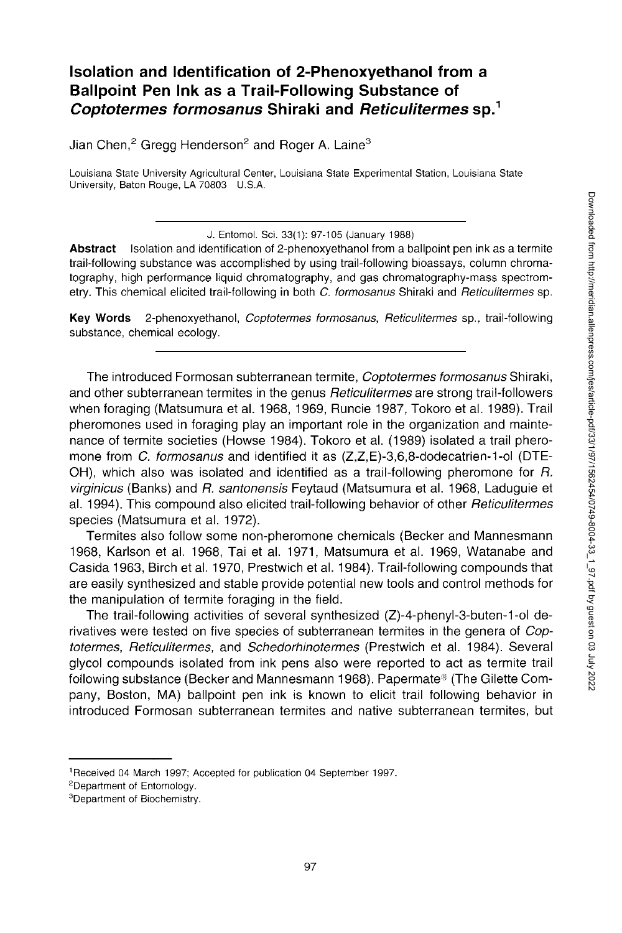# **Isolation and Identification of 2-Phenoxyethanol from a Ballpoint Pen Ink as a Trail-Following Substance of**  *Coptotermes formosanus* **Shiraki and** *Reticulitermes* **sp.<sup>1</sup>**

Jian Chen,<sup>2</sup> Gregg Henderson<sup>2</sup> and Roger A. Laine<sup>3</sup>

Louisiana State University Agricultural Center, Louisiana State Experimental Station, Louisiana State University, Baton Rouge, LA 70803 U.S.A.

J. Entomol. Sci. 33(1): 97-105 (January 1988)

**Abstract** Isolation and identification of 2-phenoxyethanol from a ballpoint pen ink as a termite trail-following substance was accomplished by using trail-following bioassays, column chromatography, high performance liquid chromatography, and gas chromatography-mass spectrometry. This chemical elicited trail-following in both *C. formosanus* Shiraki and *Reticulitermes* sp.

**Key Words** 2-phenoxyethanol, *Coptotermes formosanus, Reticulitermes* sp., trail-following substance, chemical ecology.

The introduced Formosan subterranean termite, *Coptotermes formosanus* Shiraki, and other subterranean termites in the genus *Reticulitermes* are strong trail-followers when foraging (Matsumura et al. 1968, 1969, Runcie 1987, Tokoro et al. 1989). Trail pheromones used in foraging play an important role in the organization and maintenance of termite societies (Howse 1984). Tokoro et al. (1989) isolated a trail pheromone from C. *formosanus* and identified it as (Z,Z,E)-3,6,8-dodecatrien-1-ol (DTE-OH), which also was isolated and identified as a trail-following pheromone for *R. virginicus* (Banks) and *R. santonensis* Feytaud (Matsumura et al. 1968, Laduguie et al. 1994). This compound also elicited trail-following behavior of other *Reticulitermes*  species (Matsumura et al. 1972).

Termites also follow some non-pheromone chemicals (Becker and Mannesmann 1968, Karlson et al. 1968, Tai et al. 1971, Matsumura et al. 1969, Watanabe and Casida 1963, Birch et al. 1970, Prestwich et al. 1984). Trail-following compounds that are easily synthesized and stable provide potential new tools and control methods for the manipulation of termite foraging in the field.

The trail-following activities of several synthesized (Z)-4-phenyl-3-buten-1-ol derivatives were tested on five species of subterranean termites in the genera of *Coptotermes, Reticulitermes,* and *Schedorhinotermes* (Prestwich et al. 1984). Several glycol compounds isolated from ink pens also were reported to act as termite trail following substance (Becker and Mannesmann 1968). Papermate® (The Gilette Company, Boston, MA) ballpoint pen ink is known to elicit trail following behavior in introduced Formosan subterranean termites and native subterranean termites, but

<sup>1</sup> Received 04 March 1997; Accepted for publication 04 September 1997.

<sup>&</sup>lt;sup>2</sup>Department of Entomology.

<sup>3</sup>Department of Biochemistry.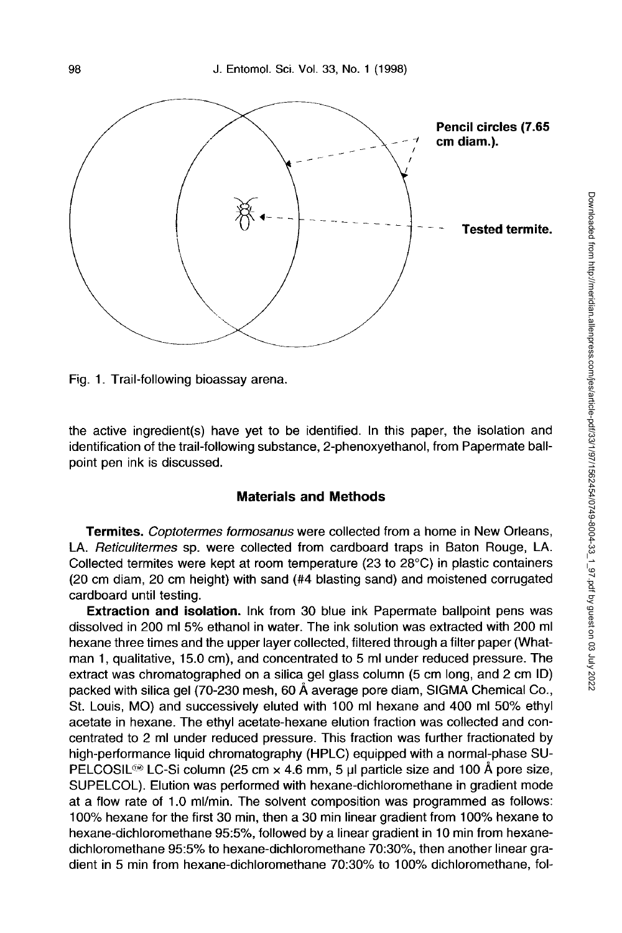

Fig. 1. Trail-following bioassay arena.

the active ingredient(s) have yet to be identified. In this paper, the isolation and identification of the trail-following substance, 2-phenoxyethanol, from Papermate ballpoint pen ink is discussed.

## **Materials and Methods**

**Termites.** *Coptotermes formosanus* were collected from a home in New Orleans, LA. *Reticulitermes* sp. were collected from cardboard traps in Baton Rouge, LA. Collected termites were kept at room temperature (23 to 28°C) in plastic containers (20 cm diam, 20 cm height) with sand (#4 blasting sand) and moistened corrugated cardboard until testing.

**Extraction and isolation.** Ink from 30 blue ink Papermate ballpoint pens was dissolved in 200 ml 5% ethanol in water. The ink solution was extracted with 200 ml hexane three times and the upper layer collected, filtered through a filter paper (Whatman 1, qualitative, 15.0 cm), and concentrated to 5 ml under reduced pressure. The extract was chromatographed on a silica gel glass column (5 cm long, and 2 cm ID) packed with silica gel (70-230 mesh, 60 A average pore diam, SIGMA Chemical Co., St. Louis, MO) and successively eluted with 100 ml hexane and 400 ml 50% ethyl acetate in hexane. The ethyl acetate-hexane elution fraction was collected and concentrated to 2 ml under reduced pressure. This fraction was further fractionated by high-performance liquid chromatography (HPLC) equipped with a normal-phase SU-PELCOSIL<sup>®</sup> LC-Si column (25 cm  $\times$  4.6 mm, 5 µl particle size and 100 Å pore size, SUPELCOL). Elution was performed with hexane-dichloromethane in gradient mode at a flow rate of 1.0 ml/min. The solvent composition was programmed as follows: 100% hexane for the first 30 min, then a 30 min linear gradient from 100% hexane to hexane-dichloromethane 95:5%, followed by a linear gradient in 10 min from hexanedichloromethane 95:5% to hexane-dichloromethane 70:30%, then another linear gradient in 5 min from hexane-dichloromethane 70:30% to 100% dichloromethane, fol-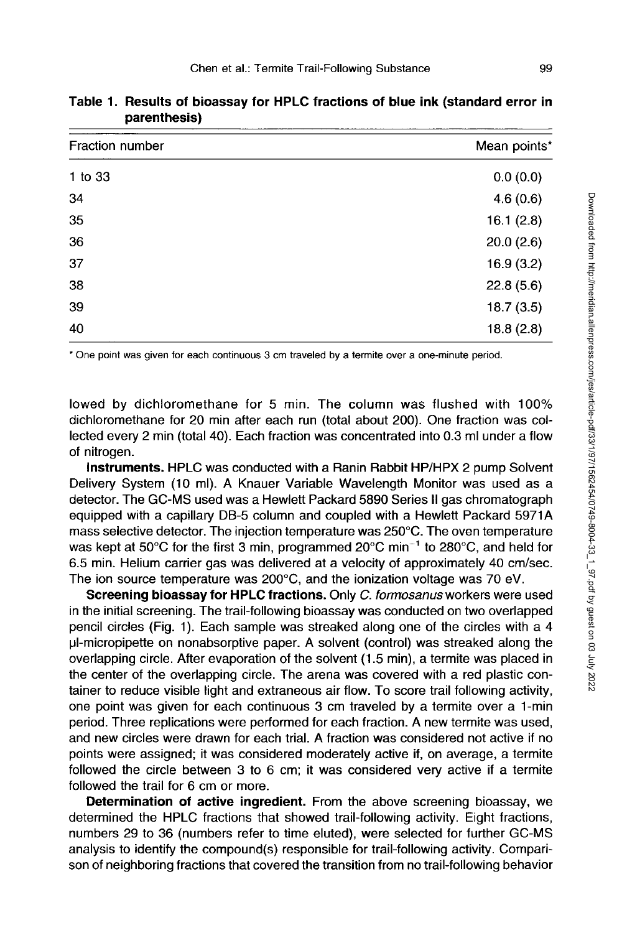| Fraction number | Mean points* |
|-----------------|--------------|
| 1 to 33         | 0.0(0.0)     |
| 34              | 4.6(0.6)     |
| 35              | 16.1(2.8)    |
| 36              | 20.0(2.6)    |
| 37              | 16.9(3.2)    |
| 38              | 22.8(5.6)    |
| 39              | 18.7(3.5)    |
| 40              | 18.8(2.8)    |
|                 |              |

**Table 1. Results of bioassay for HPLC fractions of blue ink (standard error in parenthesis)** 

\* One point was given for each continuous 3 cm traveled by a termite over a one-minute period.

lowed by dichloromethane for 5 min. The column was flushed with 100% dichloromethane for 20 min after each run (total about 200). One fraction was collected every 2 min (total 40). Each fraction was concentrated into 0.3 ml under a flow of nitrogen.

**Instruments.** HPLC was conducted with a Ranin Rabbit HP/HPX 2 pump Solvent Delivery System (10 ml). A Knauer Variable Wavelength Monitor was used as a detector. The GC-MS used was a Hewlett Packard 5890 Series II gas chromatograph equipped with a capillary DB-5 column and coupled with a Hewlett Packard 5971A mass selective detector. The injection temperature was 250°C. The oven temperature was kept at 50°C for the first 3 min, programmed 20°C min<sup>-1</sup> to 280°C, and held for 6.5 min. Helium carrier gas was delivered at a velocity of approximately 40 cm/sec. The ion source temperature was 200°C, and the ionization voltage was 70 eV.

**Screening bioassay for HPLC fractions.** Only *C. formosanus* workers were used in the initial screening. The trail-following bioassay was conducted on two overlapped pencil circles (Fig. 1). Each sample was streaked along one of the circles with a 4 pl-micropipette on nonabsorptive paper. A solvent (control) was streaked along the overlapping circle. After evaporation of the solvent (1.5 min), a termite was placed in the center of the overlapping circle. The arena was covered with a red plastic container to reduce visible light and extraneous air flow. To score trail following activity, one point was given for each continuous 3 cm traveled by a termite over a 1-min period. Three replications were performed for each fraction. A new termite was used, and new circles were drawn for each trial. A fraction was considered not active if no points were assigned; it was considered moderately active if, on average, a termite followed the circle between 3 to 6 cm; it was considered very active if a termite followed the trail for 6 cm or more.

**Determination of active ingredient.** From the above screening bioassay, we determined the HPLC fractions that showed trail-following activity. Eight fractions, numbers 29 to 36 (numbers refer to time eluted), were selected for further GC-MS analysis to identify the compound(s) responsible for trail-following activity. Comparison of neighboring fractions that covered the transition from no trail-following behavior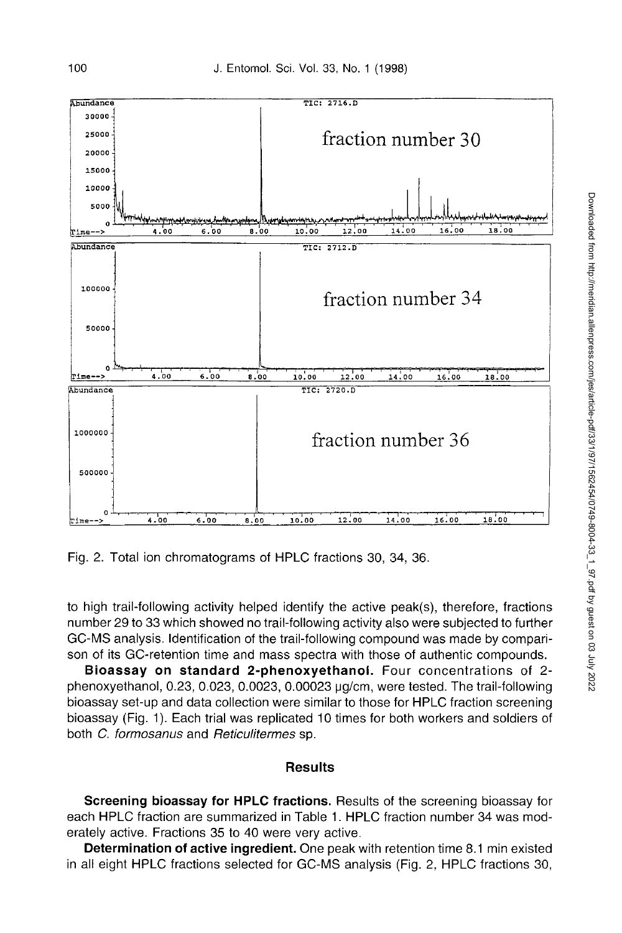

Fig. 2. Total ion chromatograms of HPLC fractions 30, 34, 36.

to high trail-following activity helped identify the active peak(s), therefore, fractions number 29 to 33 which showed no trail-following activity also were subjected to further GC-MS analysis. Identification of the trail-following compound was made by comparison of its GC-retention time and mass spectra with those of authentic compounds.

**Bioassay on standard 2-phenoxyethanol.** Four concentrations of 2 phenoxyethanol, 0.23, 0.023, 0.0023, 0.00023 pg/cm, were tested. The trail-following bioassay set-up and data collection were similar to those for HPLC fraction screening bioassay (Fig. 1). Each trial was replicated 10 times for both workers and soldiers of both *C. formosanus* and *Reticulitermes* sp.

## **Results**

**Screening bioassay for HPLC fractions.** Results of the screening bioassay for each HPLC fraction are summarized in Table 1. HPLC fraction number 34 was moderately active. Fractions 35 to 40 were very active.

**Determination of active ingredient.** One peak with retention time 8.1 min existed in all eight HPLC fractions selected for GC-MS analysis (Fig. 2, HPLC fractions 30,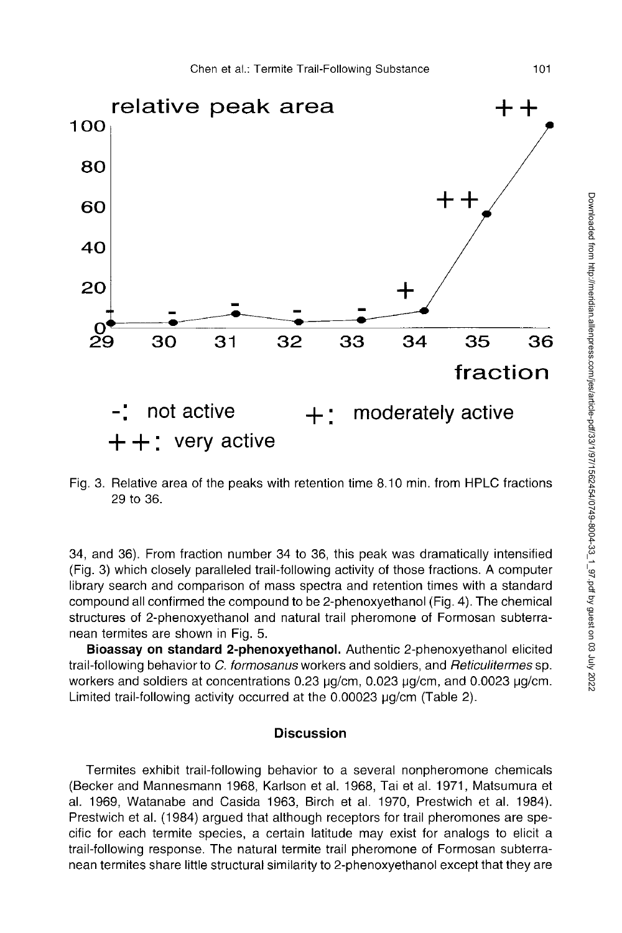

Fig. 3. Relative area of the peaks with retention time 8.10 min. from HPLC fractions 29 to 36.

34, and 36). From fraction number 34 to 36, this peak was dramatically intensified (Fig. 3) which closely paralleled trail-following activity of those fractions. A computer library search and comparison of mass spectra and retention times with a standard compound all confirmed the compound to be 2-phenoxyethanol (Fig. 4). The chemical structures of 2-phenoxyethanol and natural trail pheromone of Formosan subterranean termites are shown in Fig. 5.

**Bioassay on standard 2-phenoxyethanol.** Authentic 2-phenoxyethanol elicited trail-following behavior to *C. formosanus* workers and soldiers, and *Reticulitermes* sp. workers and soldiers at concentrations 0.23 µg/cm, 0.023 µg/cm, and 0.0023 µg/cm. Limited trail-following activity occurred at the  $0.00023$   $\mu$ g/cm (Table 2).

# **Discussion**

Termites exhibit trail-following behavior to a several nonpheromone chemicals (Becker and Mannesmann 1968, Karlson et al. 1968, Tai et al. 1971, Matsumura et al. 1969, Watanabe and Casida 1963, Birch et al. 1970, Prestwich et al. 1984). Prestwich et al. (1984) argued that although receptors for trail pheromones are specific for each termite species, a certain latitude may exist for analogs to elicit a trail-following response. The natural termite trail pheromone of Formosan subterranean termites share little structural similarity to 2-phenoxyethanol except that they are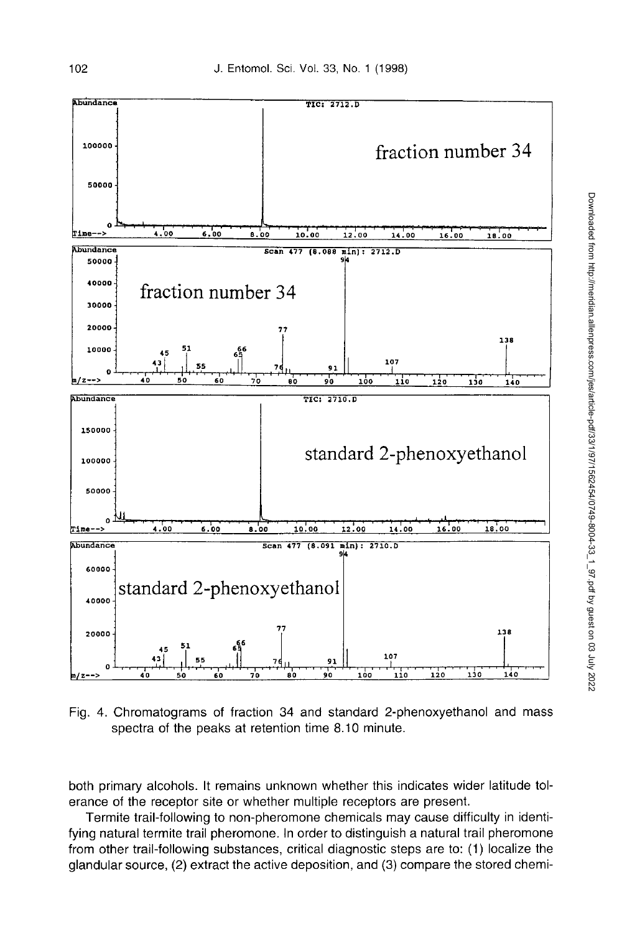

Fig. 4. Chromatograms of fraction 34 and standard 2-phenoxyethanol and mass spectra of the peaks at retention time 8.10 minute.

both primary alcohols. It remains unknown whether this indicates wider latitude tolerance of the receptor site or whether multiple receptors are present.

Termite trail-following to non-pheromone chemicals may cause difficulty in identifying natural termite trail pheromone. In order to distinguish a natural trail pheromone from other trail-following substances, critical diagnostic steps are to: (1) localize the glandular source, (2) extract the active deposition, and (3) compare the stored chemi-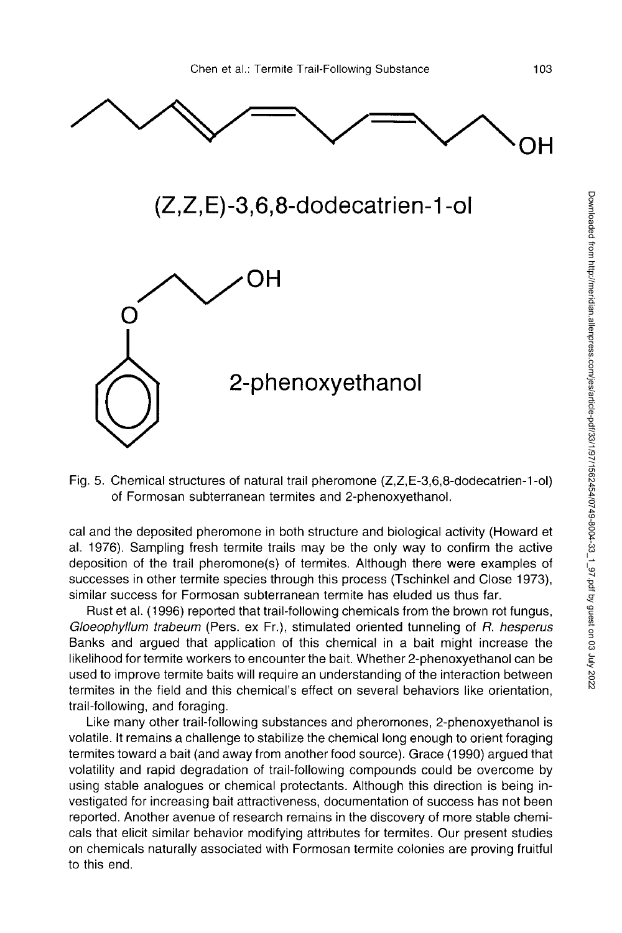

Fig. 5. Chemical structures of natural trail pheromone (Z,Z,E-3,6,8-dodecatrien-1-ol) of Formosan subterranean termites and 2-phenoxyethanol.

cal and the deposited pheromone in both structure and biological activity (Howard et al. 1976). Sampling fresh termite trails may be the only way to confirm the active deposition of the trail pheromone(s) of termites. Although there were examples of successes in other termite species through this process (Tschinkel and Close 1973), similar success for Formosan subterranean termite has eluded us thus far.

Rust et al. (1996) reported that trail-following chemicals from the brown rot fungus, *Gloeophyllum trabeum* (Pers. ex Fr.), stimulated oriented tunneling of *R. hesperus*  Banks and argued that application of this chemical in a bait might increase the likelihood for termite workers to encounter the bait. Whether 2-phenoxyethanol can be used to improve termite baits will require an understanding of the interaction between termites in the field and this chemical's effect on several behaviors like orientation, trail-following, and foraging.

Like many other trail-following substances and pheromones, 2-phenoxyethanol is volatile. It remains a challenge to stabilize the chemical long enough to orient foraging termites toward a bait (and away from another food source). Grace (1990) argued that volatility and rapid degradation of trail-following compounds could be overcome by using stable analogues or chemical protectants. Although this direction is being investigated for increasing bait attractiveness, documentation of success has not been reported. Another avenue of research remains in the discovery of more stable chemicals that elicit similar behavior modifying attributes for termites. Our present studies on chemicals naturally associated with Formosan termite colonies are proving fruitful to this end.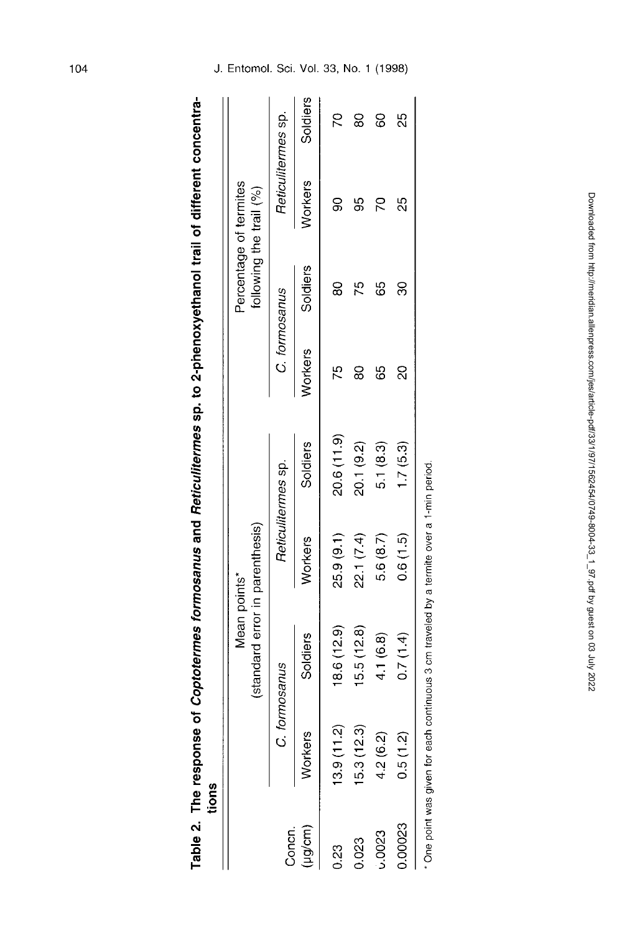| ֚֓                |      |
|-------------------|------|
| $\ddot{\epsilon}$ |      |
|                   |      |
| ì                 |      |
|                   |      |
|                   |      |
|                   |      |
| $-5$ Sp. to 2-pr  |      |
|                   |      |
|                   |      |
|                   |      |
| nd Doticulit      |      |
| j                 |      |
|                   |      |
| .<br>.<br>.<br>.  |      |
|                   |      |
|                   |      |
|                   |      |
| mea of Cont<br>l  |      |
| <b>Tespu</b>      |      |
| ر<br>آ            | ions |
| able              |      |
|                   |      |

|              | Table 2. The response of <i>Coptotermes formosanus</i> and Reticulitermes sp. to 2-phenoxyethanol trail of different concentra-<br>tions |                                                 |            |                    |                |               |                                                   |          |
|--------------|------------------------------------------------------------------------------------------------------------------------------------------|-------------------------------------------------|------------|--------------------|----------------|---------------|---------------------------------------------------|----------|
|              |                                                                                                                                          | (standard error in parenthesis)<br>Mean points* |            |                    |                |               | Percentage of termites<br>following the trail (%) |          |
| Concn.       |                                                                                                                                          | formosanus                                      |            | Reticulitermes sp. |                | C. formosanus | Reticulitermes sp.                                |          |
| $(\mu g/cm)$ | <b>Workers</b>                                                                                                                           | Soldiers                                        | Workers    | Soldiers           | <b>Norkers</b> | Soldiers      | <b>Norkers</b>                                    | Soldiers |
| 0.23         | (3.9(11.2)                                                                                                                               | 18.6(12.9)                                      | 25.9(9.1)  | 20.6 (11.9)        | 75             | 8             | ဓ္တ                                               |          |
| 0.023        | 5.3(12.3)                                                                                                                                | 15.5(12.8)                                      | 22.1 (7.4) | 20.1 (9.2)         | 8              | 10            | မ္မ                                               | 8        |
| ,0023        | 4.2(6.2)                                                                                                                                 | 4.1 (6.8)                                       | 5.6(8.7)   | 5.1(8.3)           | မိ             | မိ            | 2                                                 | 8        |
| 0.00023      | 0.5(1.2)                                                                                                                                 | 0.7(1.4)                                        | 0.6(1.5)   | 1.7(5.3)           | ನ              | వ్లె          | 25                                                | 25       |
|              | One point was given for each continuous 3 cm traveled by a termite over a 1-min period.                                                  |                                                 |            |                    |                |               |                                                   |          |

J . Entomol . Sci . Vol . 33 , No . 1 (1998)